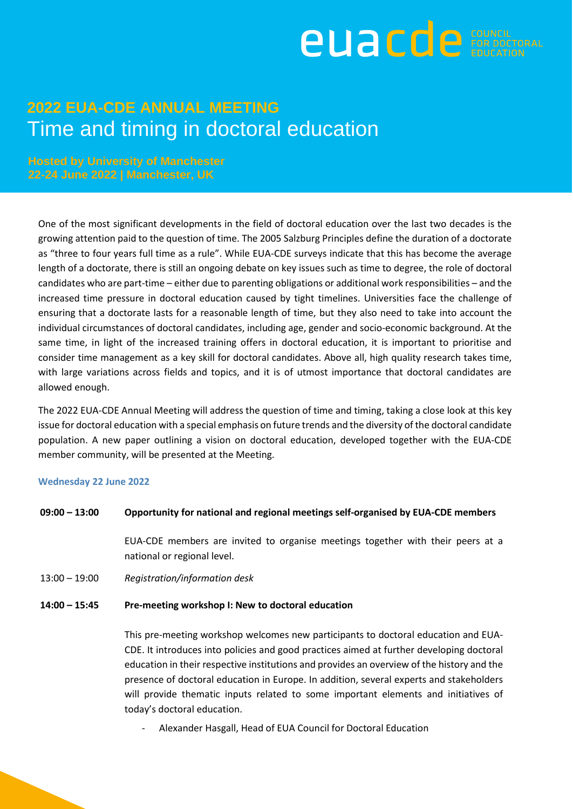

**Hosted by University of Manchester 22-24 June 2022 | Manchester, UK**

One of the most significant developments in the field of doctoral education over the last two decades is the growing attention paid to the question of time. The 2005 Salzburg Principles define the duration of a doctorate as "three to four years full time as a rule". While EUA-CDE surveys indicate that this has become the average length of a doctorate, there is still an ongoing debate on key issues such as time to degree, the role of doctoral candidates who are part-time – either due to parenting obligations or additional work responsibilities – and the increased time pressure in doctoral education caused by tight timelines. Universities face the challenge of ensuring that a doctorate lasts for a reasonable length of time, but they also need to take into account the individual circumstances of doctoral candidates, including age, gender and socio-economic background. At the same time, in light of the increased training offers in doctoral education, it is important to prioritise and consider time management as a key skill for doctoral candidates. Above all, high quality research takes time, with large variations across fields and topics, and it is of utmost importance that doctoral candidates are allowed enough.

The 2022 EUA-CDE Annual Meeting will address the question of time and timing, taking a close look at this key issue for doctoral education with a special emphasis on future trends and the diversity of the doctoral candidate population. A new paper outlining a vision on doctoral education, developed together with the EUA-CDE member community, will be presented at the Meeting.

#### **Wednesday 22 June 2022**

#### **09:00 – 13:00 Opportunity for national and regional meetings self-organised by EUA-CDE members**

EUA-CDE members are invited to organise meetings together with their peers at a national or regional level.

13:00 – 19:00 *Registration/information desk*

#### **14:00 – 15:45 Pre-meeting workshop I: New to doctoral education**

This pre-meeting workshop welcomes new participants to doctoral education and EUA-CDE. It introduces into policies and good practices aimed at further developing doctoral education in their respective institutions and provides an overview of the history and the presence of doctoral education in Europe. In addition, several experts and stakeholders will provide thematic inputs related to some important elements and initiatives of today's doctoral education.

Alexander Hasgall, Head of EUA Council for Doctoral Education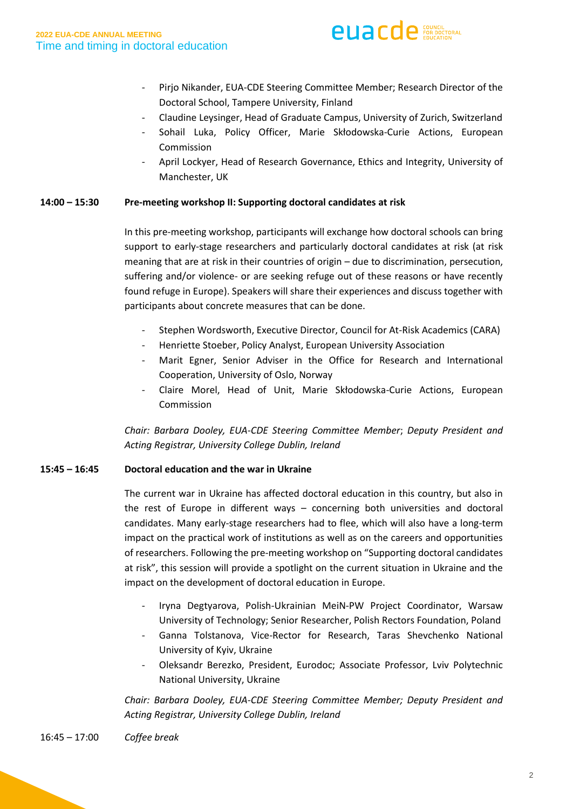

- Pirjo Nikander, EUA-CDE Steering Committee Member; Research Director of the Doctoral School, Tampere University, Finland
- Claudine Leysinger, Head of Graduate Campus, University of Zurich, Switzerland
- Sohail Luka, Policy Officer, Marie Skłodowska-Curie Actions, European Commission
- April Lockyer, Head of Research Governance, Ethics and Integrity, University of Manchester, UK

#### **14:00 – 15:30 Pre-meeting workshop II: Supporting doctoral candidates at risk**

In this pre-meeting workshop, participants will exchange how doctoral schools can bring support to early-stage researchers and particularly doctoral candidates at risk (at risk meaning that are at risk in their countries of origin – due to discrimination, persecution, suffering and/or violence- or are seeking refuge out of these reasons or have recently found refuge in Europe). Speakers will share their experiences and discuss together with participants about concrete measures that can be done.

- Stephen Wordsworth, Executive Director, Council for At-Risk Academics (CARA)
- Henriette Stoeber, Policy Analyst, European University Association
- Marit Egner, Senior Adviser in the Office for Research and International Cooperation, University of Oslo, Norway
- Claire Morel, Head of Unit, Marie Skłodowska-Curie Actions, European Commission

*Chair: Barbara Dooley, EUA-CDE Steering Committee Member*; *Deputy President and Acting Registrar, University College Dublin, Ireland*

#### **15:45 – 16:45 Doctoral education and the war in Ukraine**

The current war in Ukraine has affected doctoral education in this country, but also in the rest of Europe in different ways – concerning both universities and doctoral candidates. Many early-stage researchers had to flee, which will also have a long-term impact on the practical work of institutions as well as on the careers and opportunities of researchers. Following the pre-meeting workshop on "Supporting doctoral candidates at risk", this session will provide a spotlight on the current situation in Ukraine and the impact on the development of doctoral education in Europe.

- Iryna Degtyarova, Polish-Ukrainian MeiN-PW Project Coordinator, Warsaw University of Technology; Senior Researcher, Polish Rectors Foundation, Poland
- Ganna Tolstanova, Vice-Rector for Research, Taras Shevchenko National University of Kyiv, Ukraine
- Oleksandr Berezko, President, Eurodoc; Associate Professor, Lviv Polytechnic National University, Ukraine

*Chair: Barbara Dooley, EUA-CDE Steering Committee Member; Deputy President and Acting Registrar, University College Dublin, Ireland*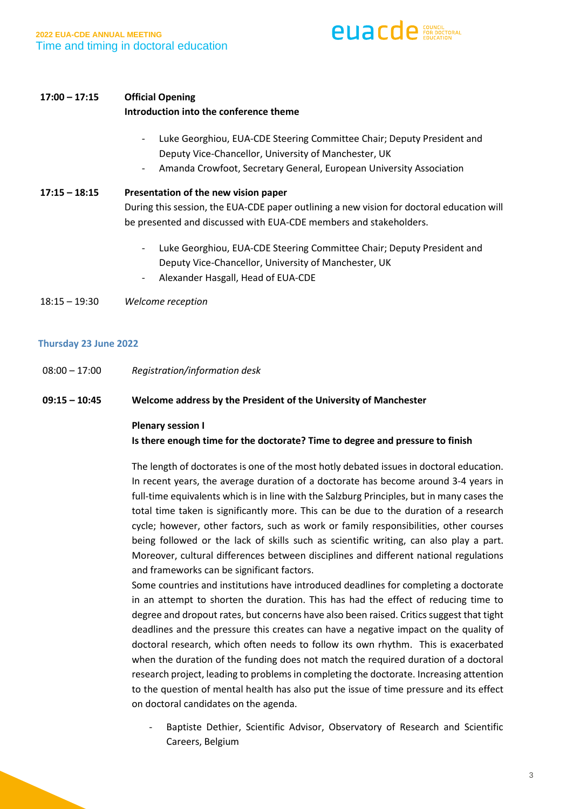

#### **17:00 – 17:15 Official Opening**

#### **Introduction into the conference theme**

- Luke Georghiou, EUA-CDE Steering Committee Chair; Deputy President and Deputy Vice-Chancellor, University of Manchester, UK
- Amanda Crowfoot, Secretary General, European University Association

# **17:15 – 18:15 Presentation of the new vision paper** During this session, the EUA-CDE paper outlining a new vision for doctoral education will be presented and discussed with EUA-CDE members and stakeholders.

- Luke Georghiou, EUA-CDE Steering Committee Chair; Deputy President and Deputy Vice-Chancellor, University of Manchester, UK
- Alexander Hasgall, Head of EUA-CDE

18:15 – 19:30 *Welcome reception*

#### **Thursday 23 June 2022**

08:00 – 17:00 *Registration/information desk*

#### **09:15 – 10:45 Welcome address by the President of the University of Manchester**

#### **Plenary session I**

#### **Is there enough time for the doctorate? Time to degree and pressure to finish**

The length of doctorates is one of the most hotly debated issues in doctoral education. In recent years, the average duration of a doctorate has become around 3-4 years in full-time equivalents which is in line with the Salzburg Principles, but in many cases the total time taken is significantly more. This can be due to the duration of a research cycle; however, other factors, such as work or family responsibilities, other courses being followed or the lack of skills such as scientific writing, can also play a part. Moreover, cultural differences between disciplines and different national regulations and frameworks can be significant factors.

Some countries and institutions have introduced deadlines for completing a doctorate in an attempt to shorten the duration. This has had the effect of reducing time to degree and dropout rates, but concerns have also been raised. Critics suggest that tight deadlines and the pressure this creates can have a negative impact on the quality of doctoral research, which often needs to follow its own rhythm. This is exacerbated when the duration of the funding does not match the required duration of a doctoral research project, leading to problems in completing the doctorate. Increasing attention to the question of mental health has also put the issue of time pressure and its effect on doctoral candidates on the agenda.

Baptiste Dethier, Scientific Advisor, Observatory of Research and Scientific Careers, Belgium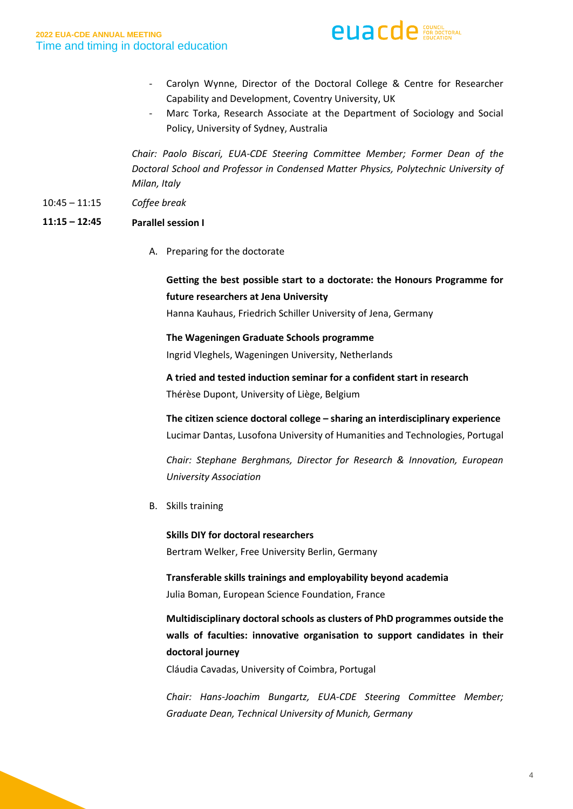

- Carolyn Wynne, Director of the Doctoral College & Centre for Researcher Capability and Development, Coventry University, UK
- Marc Torka, Research Associate at the Department of Sociology and Social Policy, University of Sydney, Australia

*Chair: Paolo Biscari, EUA-CDE Steering Committee Member; Former Dean of the Doctoral School and Professor in Condensed Matter Physics, Polytechnic University of Milan, Italy*

10:45 – 11:15 *Coffee break*  Coffee break

#### **11:15 – 12:45 Parallel session I**

A. Preparing for the doctorate

## **Getting the best possible start to a doctorate: the Honours Programme for future researchers at Jena University**

Hanna Kauhaus, Friedrich Schiller University of Jena, Germany

**The Wageningen Graduate Schools programme** 

Ingrid Vleghels, Wageningen University, Netherlands

**A tried and tested induction seminar for a confident start in research** Thérèse Dupont, University of Liège, Belgium

**The citizen science doctoral college – sharing an interdisciplinary experience** Lucimar Dantas, Lusofona University of Humanities and Technologies, Portugal

*Chair: Stephane Berghmans, Director for Research & Innovation, European University Association*

B. Skills training

**Skills DIY for doctoral researchers** Bertram Welker, Free University Berlin, Germany

**Transferable skills trainings and employability beyond academia** Julia Boman, European Science Foundation, France

**Multidisciplinary doctoral schools as clusters of PhD programmes outside the walls of faculties: innovative organisation to support candidates in their doctoral journey**

Cláudia Cavadas, University of Coimbra, Portugal

*Chair: Hans-Joachim Bungartz, EUA-CDE Steering Committee Member; Graduate Dean, Technical University of Munich, Germany*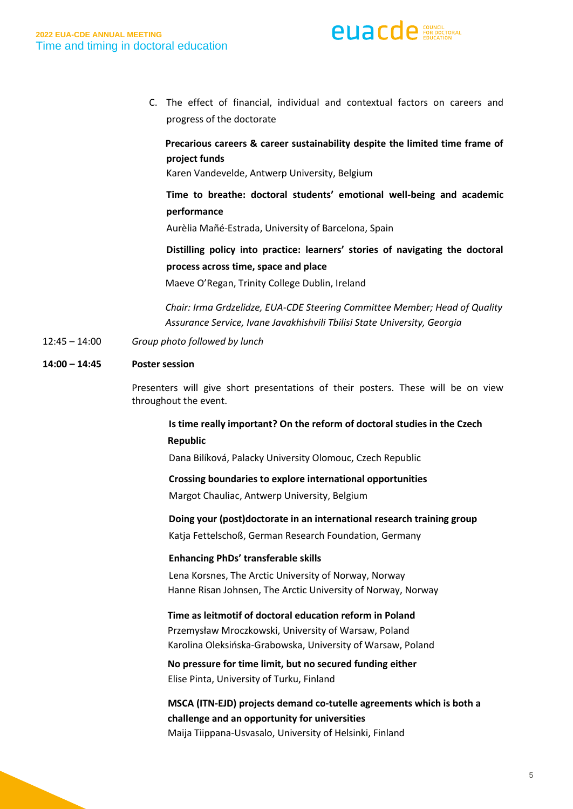

C. The effect of financial, individual and contextual factors on careers and progress of the doctorate

## **Precarious careers & career sustainability despite the limited time frame of p project funds**

Karen Vandevelde, Antwerp University, Belgium

## **Time to breathe: doctoral students' emotional well-being and academic performance**

Aurèlia Mañé-Estrada, University of Barcelona, Spain

## **Distilling policy into practice: learners' stories of navigating the doctoral process across time, space and place**

Maeve O'Regan, Trinity College Dublin, Ireland

 *Chair: Irma Grdzelidze, EUA-CDE Steering Committee Member; Head of Quality Assurance Service, Ivane Javakhishvili Tbilisi State University, Georgia*

12:45 – 14:00 *Group photo followed by lunch*

#### **14:00 – 14:45 Poster session**

Presenters will give short presentations of their posters. These will be on view throughout the event.

## **Is time really important? On the reform of doctoral studies in the Czech Republic**

Dana Bilíková, Palacky University Olomouc, Czech Republic

#### **Crossing boundaries to explore international opportunities**

Margot Chauliac, Antwerp University, Belgium

#### **Doing your (post)doctorate in an international research training group**

Katja Fettelschoß, German Research Foundation, Germany

#### **Enhancing PhDs' transferable skills**

Lena Korsnes, The Arctic University of Norway, Norway Hanne Risan Johnsen, The Arctic University of Norway, Norway

## **Time as leitmotif of doctoral education reform in Poland**

Przemysław Mroczkowski, University of Warsaw, Poland Karolina Oleksińska-Grabowska, University of Warsaw, Poland

 **No pressure for time limit, but no secured funding either** Elise Pinta, University of Turku, Finland

# **MSCA (ITN-EJD) projects demand co-tutelle agreements which is both a challenge and an opportunity for universities**

Maija Tiippana-Usvasalo, University of Helsinki, Finland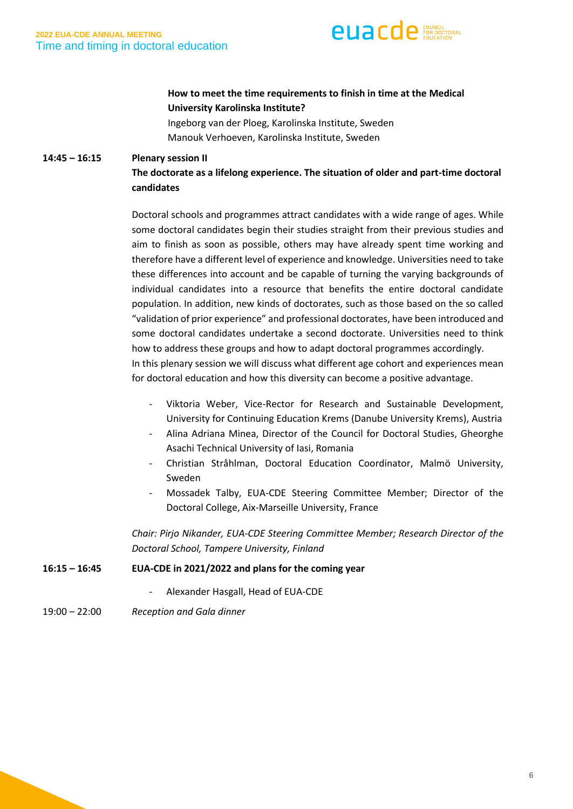

## **How to meet the time requirements to finish in time at the Medical University Karolinska Institute?**

 Ingeborg van der Ploeg, Karolinska Institute, Sweden Manouk Verhoeven, Karolinska Institute, Sweden

#### **14:45 – 16:15 Plenary session II**

## **The doctorate as a lifelong experience. The situation of older and part-time doctoral candidates**

Doctoral schools and programmes attract candidates with a wide range of ages. While some doctoral candidates begin their studies straight from their previous studies and aim to finish as soon as possible, others may have already spent time working and therefore have a different level of experience and knowledge. Universities need to take these differences into account and be capable of turning the varying backgrounds of individual candidates into a resource that benefits the entire doctoral candidate population. In addition, new kinds of doctorates, such as those based on the so called "validation of prior experience" and professional doctorates, have been introduced and some doctoral candidates undertake a second doctorate. Universities need to think how to address these groups and how to adapt doctoral programmes accordingly. In this plenary session we will discuss what different age cohort and experiences mean for doctoral education and how this diversity can become a positive advantage.

- Viktoria Weber, Vice-Rector for Research and Sustainable Development, University for Continuing Education Krems (Danube University Krems), Austria
- Alina Adriana Minea, Director of the Council for Doctoral Studies, Gheorghe Asachi Technical University of Iasi, Romania
- Christian Stråhlman, Doctoral Education Coordinator, Malmö University, Sweden
- Mossadek Talby, EUA-CDE Steering Committee Member; Director of the Doctoral College, Aix-Marseille University, France

*Chair: Pirjo Nikander, EUA-CDE Steering Committee Member; Research Director of the Doctoral School, Tampere University, Finland*

#### **16:15 – 16:45 EUA-CDE in 2021/2022 and plans for the coming year**

- Alexander Hasgall, Head of EUA-CDE
- 19:00 22:00 *Reception and Gala dinner*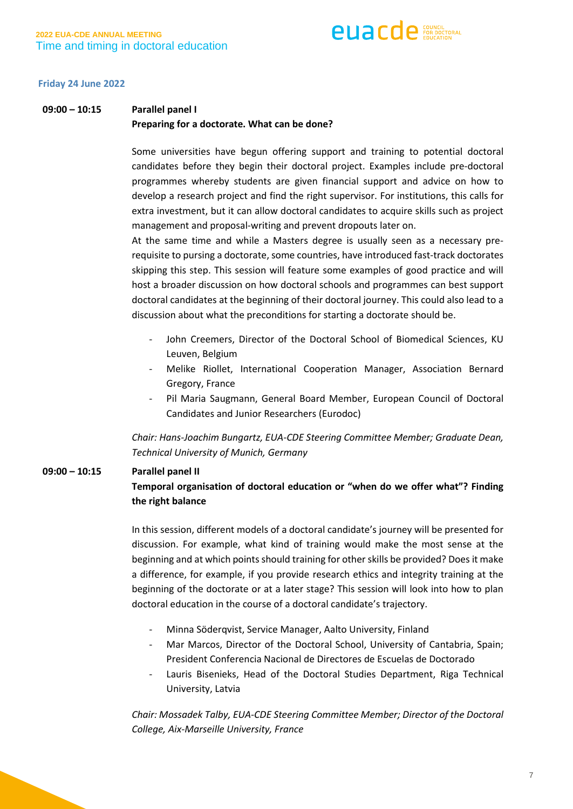

#### **Friday 24 June 2022**

## **09:00 – 10:15 Parallel panel I Preparing for a doctorate. What can be done?**

Some universities have begun offering support and training to potential doctoral candidates before they begin their doctoral project. Examples include pre-doctoral programmes whereby students are given financial support and advice on how to develop a research project and find the right supervisor. For institutions, this calls for extra investment, but it can allow doctoral candidates to acquire skills such as project management and proposal-writing and prevent dropouts later on.

At the same time and while a Masters degree is usually seen as a necessary prerequisite to pursing a doctorate, some countries, have introduced fast-track doctorates skipping this step. This session will feature some examples of good practice and will host a broader discussion on how doctoral schools and programmes can best support doctoral candidates at the beginning of their doctoral journey. This could also lead to a discussion about what the preconditions for starting a doctorate should be.

- John Creemers, Director of the Doctoral School of Biomedical Sciences, KU Leuven, Belgium
- Melike Riollet, International Cooperation Manager, Association Bernard Gregory, France
- Pil Maria Saugmann, General Board Member, European Council of Doctoral Candidates and Junior Researchers (Eurodoc)

*Chair: Hans-Joachim Bungartz, EUA-CDE Steering Committee Member; Graduate Dean, Technical University of Munich, Germany*

#### **09:00 – 10:15 Parallel panel II**

## **Temporal organisation of doctoral education or "when do we offer what"? Finding the right balance**

In this session, different models of a doctoral candidate's journey will be presented for discussion. For example, what kind of training would make the most sense at the beginning and at which points should training for other skills be provided? Does it make a difference, for example, if you provide research ethics and integrity training at the beginning of the doctorate or at a later stage? This session will look into how to plan doctoral education in the course of a doctoral candidate's trajectory.

- Minna Söderqvist, Service Manager, Aalto University, Finland
- Mar Marcos, Director of the Doctoral School, University of Cantabria, Spain; President Conferencia Nacional de Directores de Escuelas de Doctorado
- Lauris Bisenieks, Head of the Doctoral Studies Department, Riga Technical University, Latvia

*Chair: Mossadek Talby, EUA-CDE Steering Committee Member; Director of the Doctoral College, Aix-Marseille University, France*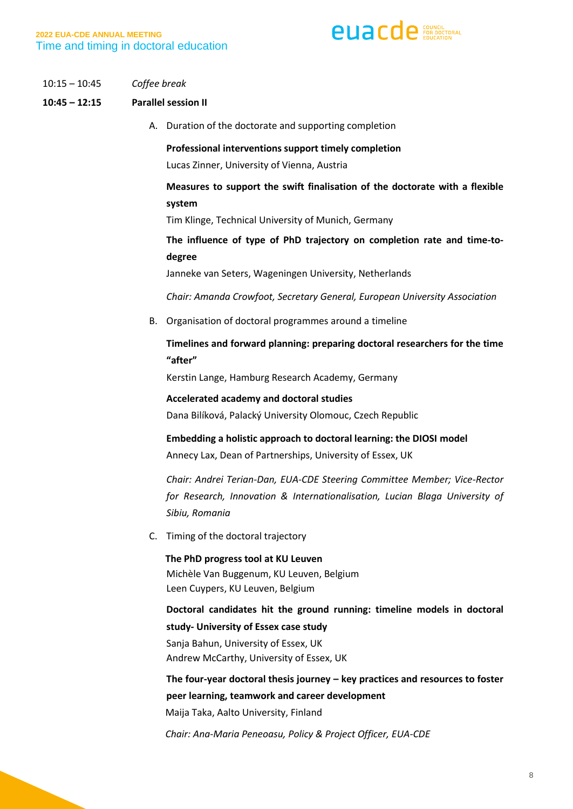

10:15 – 10:45 *Coffee break*

#### **10:45 – 12:15 Parallel session II**

A. Duration of the doctorate and supporting completion

**Professional interventions support timely completion** Lucas Zinner, University of Vienna, Austria

## **Measures to support the swift finalisation of the doctorate with a flexible system**

Tim Klinge, Technical University of Munich, Germany

**The influence of type of PhD trajectory on completion rate and time-todegree**

Janneke van Seters, Wageningen University, Netherlands

*Chair: Amanda Crowfoot, Secretary General, European University Association*

B. Organisation of doctoral programmes around a timeline

## **Timelines and forward planning: preparing doctoral researchers for the time "after"**

Kerstin Lange, Hamburg Research Academy, Germany

**Accelerated academy and doctoral studies** Dana Bilíková, Palacký University Olomouc, Czech Republic

**Embedding a holistic approach to doctoral learning: the DIOSI model** Annecy Lax, Dean of Partnerships, University of Essex, UK

*Chair: Andrei Terian-Dan, EUA-CDE Steering Committee Member; Vice-Rector for Research, Innovation & Internationalisation, Lucian Blaga University of Sibiu, Romania*

C. Timing of the doctoral trajectory

 **The PhD progress tool at KU Leuven** Michèle Van Buggenum, KU Leuven, Belgium Leen Cuypers, KU Leuven, Belgium

**Doctoral candidates hit the ground running: timeline models in doctoral study- University of Essex case study** Sanja Bahun, University of Essex, UK

Andrew McCarthy, University of Essex, UK

**The four-year doctoral thesis journey – key practices and resources to foster peer learning, teamwork and career development**

Maija Taka, Aalto University, Finland

*Chair: Ana-Maria Peneoasu, Policy & Project Officer, EUA-CDE*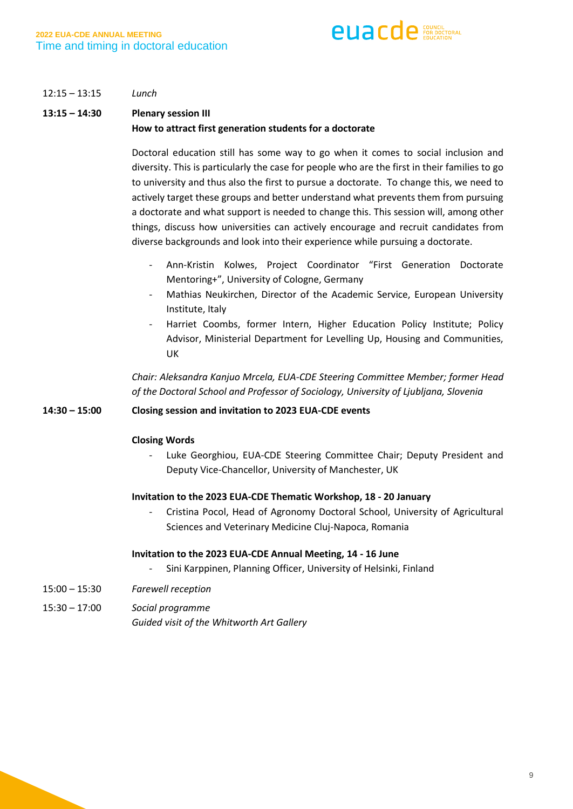

#### 12:15 – 13:15 *Lunch*

## **13:15 – 14:30 Plenary session III How to attract first generation students for a doctorate**

Doctoral education still has some way to go when it comes to social inclusion and diversity. This is particularly the case for people who are the first in their families to go to university and thus also the first to pursue a doctorate. To change this, we need to actively target these groups and better understand what prevents them from pursuing a doctorate and what support is needed to change this. This session will, among other things, discuss how universities can actively encourage and recruit candidates from diverse backgrounds and look into their experience while pursuing a doctorate.

- Ann-Kristin Kolwes, Project Coordinator "First Generation Doctorate Mentoring+", University of Cologne, Germany
- Mathias Neukirchen, Director of the Academic Service, European University Institute, Italy
- Harriet Coombs, former Intern, Higher Education Policy Institute; Policy Advisor, Ministerial Department for Levelling Up, Housing and Communities, UK

*Chair: Aleksandra Kanjuo Mrcela, EUA-CDE Steering Committee Member; former Head of the Doctoral School and Professor of Sociology, University of Ljubljana, Slovenia*

#### **14:30 – 15:00 Closing session and invitation to 2023 EUA-CDE events**

#### **Closing Words**

- Luke Georghiou, EUA-CDE Steering Committee Chair; Deputy President and Deputy Vice-Chancellor, University of Manchester, UK

#### **Invitation to the 2023 EUA-CDE Thematic Workshop, 18 - 20 January**

- Cristina Pocol, Head of Agronomy Doctoral School, University of Agricultural Sciences and Veterinary Medicine Cluj-Napoca, Romania

#### **Invitation to the 2023 EUA-CDE Annual Meeting, 14 - 16 June**

- Sini Karppinen, Planning Officer, University of Helsinki, Finland
- 15:00 15:30 *Farewell reception*
- 15:30 17:00 *Social programme Guided visit of the Whitworth Art Gallery*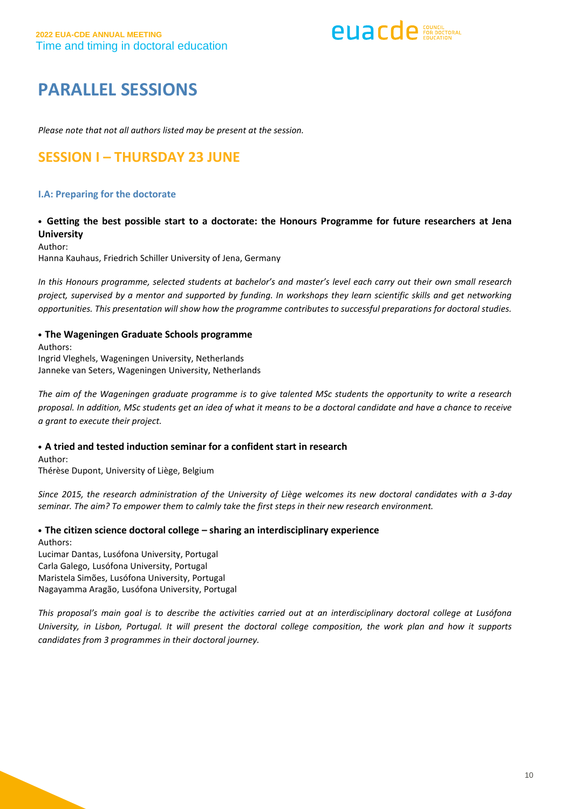**euacde** EDITORAL

# **PARALLEL SESSIONS**

*Please note that not all authors listed may be present at the session.*

# **SESSION I – THURSDAY 23 JUNE**

#### **I.A: Preparing for the doctorate**

### • **Getting the best possible start to a doctorate: the Honours Programme for future researchers at Jena University**

Author:

Hanna Kauhaus, Friedrich Schiller University of Jena, Germany

In this Honours programme, selected students at bachelor's and master's level each carry out their own small research project, supervised by a mentor and supported by funding. In workshops they learn scientific skills and get networking opportunities. This presentation will show how the programme contributes to successful preparations for doctoral studies.

• **The Wageningen Graduate Schools programme** Authors: Ingrid Vleghels, Wageningen University, Netherlands Janneke van Seters, Wageningen University, Netherlands

The aim of the Wageningen graduate programme is to give talented MSc students the opportunity to write a research proposal. In addition, MSc students get an idea of what it means to be a doctoral candidate and have a chance to receive *a grant to execute their project.*

• **A tried and tested induction seminar for a confident start in research**

Author: Thérèse Dupont, University of Liège, Belgium

Since 2015, the research administration of the University of Liège welcomes its new doctoral candidates with a 3-day *seminar. The aim? To empower them to calmly take the first steps in their new research environment.*

• **The citizen science doctoral college – sharing an interdisciplinary experience** Authors:

Lucimar Dantas, Lusófona University, Portugal Carla Galego, Lusófona University, Portugal Maristela Simões, Lusófona University, Portugal Nagayamma Aragão, Lusófona University, Portugal

This proposal's main goal is to describe the activities carried out at an interdisciplinary doctoral college at Lusófona University, in Lisbon, Portugal. It will present the doctoral college composition, the work plan and how it supports *candidates from 3 programmes in their doctoral journey.*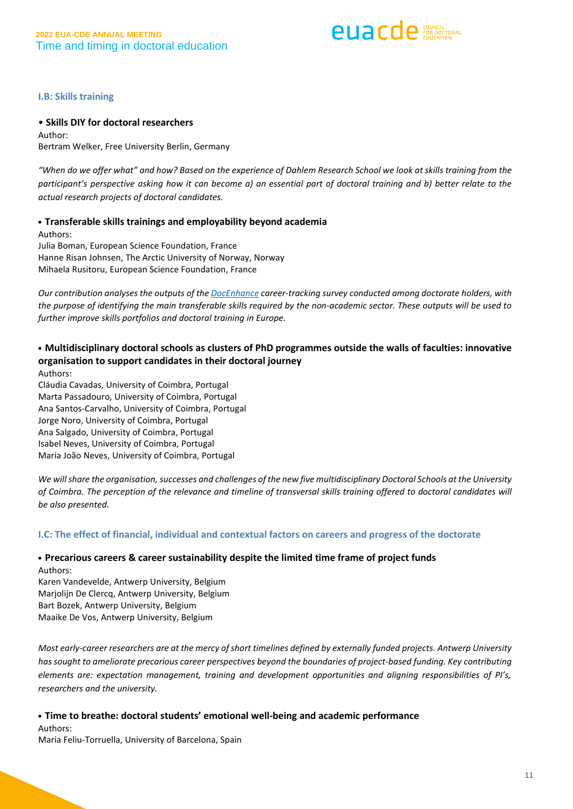**PUACD** P FOR DOCTORAL

**I.B: Skills training**

#### • **Skills DIY for doctoral researchers**

Author: Bertram Welker, Free University Berlin, Germany

"When do we offer what" and how? Based on the experience of Dahlem Research School we look at skills training from the participant's perspective asking how it can become a) an essential part of doctoral training and b) better relate to the *actual research projects of doctoral candidates.*

#### • **Transferable skills trainings and employability beyond academia**

Authors: Julia Boman, European Science Foundation, France Hanne Risan Johnsen, The Arctic University of Norway, Norway Mihaela Rusitoru, European Science Foundation, France

*Our contribution analyses the outputs of the [DocEnhance](https://docenhance.eu/) career-tracking survey conducted among doctorate holders, with* the purpose of identifying the main transferable skills required by the non-academic sector. These outputs will be used to *further improve skills portfolios and doctoral training in Europe.*

#### • **Multidisciplinary doctoral schools as clusters of PhD programmes outside the walls of faculties: innovative organisation to support candidates in their doctoral journey** Authors:

Cláudia Cavadas, University of Coimbra, Portugal Marta Passadouro, University of Coimbra, Portugal Ana Santos-Carvalho, University of Coimbra, Portugal Jorge Noro, University of Coimbra, Portugal Ana Salgado, University of Coimbra, Portugal Isabel Neves, University of Coimbra, Portugal Maria João Neves, University of Coimbra, Portugal

We will share the organisation, successes and challenges of the new five multidisciplinary Doctoral Schools at the University of Coimbra. The perception of the relevance and timeline of transversal skills training offered to doctoral candidates will *be also presented.*

#### **I.C: The effect of financial, individual and contextual factors on careers and progress of the doctorate**

#### • **Precarious careers & career sustainability despite the limited time frame of project funds** Authors:

Karen Vandevelde, Antwerp University, Belgium Marjolijn De Clercq, Antwerp University, Belgium Bart Bozek, Antwerp University, Belgium Maaike De Vos, Antwerp University, Belgium

Most early-career researchers are at the mercy of short timelines defined by externally funded projects. Antwerp University has sought to ameliorate precarious career perspectives beyond the boundaries of project-based funding. Key contributing *elements are: expectation management, training and development opportunities and aligning responsibilities of PI's, researchers and the university.*

#### • **Time to breathe: doctoral students' emotional well-being and academic performance** Authors:

Maria Feliu-Torruella, University of Barcelona, Spain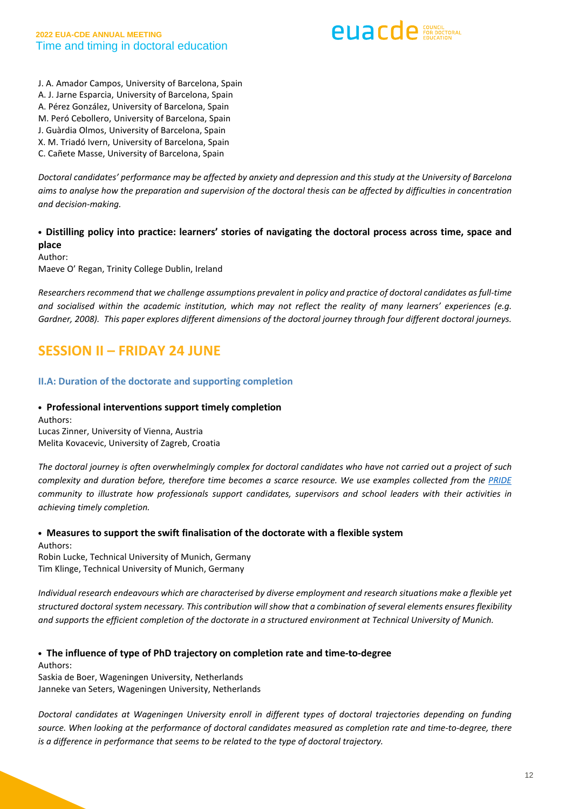

J. A. Amador Campos, University of Barcelona, Spain A. J. Jarne Esparcia, University of Barcelona, Spain A. Pérez González, University of Barcelona, Spain M. Peró Cebollero, University of Barcelona, Spain J. Guàrdia Olmos, University of Barcelona, Spain X. M. Triadó Ivern, University of Barcelona, Spain C. Cañete Masse, University of Barcelona, Spain

Doctoral candidates' performance may be affected by anxiety and depression and this study at the University of Barcelona aims to analyse how the preparation and supervision of the doctoral thesis can be affected by difficulties in concentration *and decision-making.*

• **Distilling policy into practice: learners' stories of navigating the doctoral process across time, space and place**

Author:

Maeve O' Regan, Trinity College Dublin, Ireland

*Researchers recommend that we challenge assumptions prevalent in policy and practice of doctoral candidates asfull-time* and socialised within the academic institution, which may not reflect the reality of many learners' experiences (e.g. Gardner, 2008). This paper explores different dimensions of the doctoral journey through four different doctoral journeys.

## **SESSION II – FRIDAY 24 JUNE**

#### **II.A: Duration of the doctorate and supporting completion**

#### • **Professional interventions support timely completion**

Authors: Lucas Zinner, University of Vienna, Austria Melita Kovacevic, University of Zagreb, Croatia

The doctoral journey is often overwhelmingly complex for doctoral candidates who have not carried out a project of such complexity and duration before, therefore time becomes a scarce resource. We use examples collected from the [PRIDE](https://pride-network.eu/) *community to illustrate how professionals support candidates, supervisors and school leaders with their activities in achieving timely completion.*

#### • **Measures to support the swift finalisation of the doctorate with a flexible system** Authors:

Robin Lucke, Technical University of Munich, Germany Tim Klinge, Technical University of Munich, Germany

Individual research endeavours which are characterised by diverse employment and research situations make a flexible yet structured doctoral system necessary. This contribution will show that a combination of several elements ensures flexibility and supports the efficient completion of the doctorate in a structured environment at Technical University of Munich.

• **The influence of type of PhD trajectory on completion rate and time-to-degree**

Authors: Saskia de Boer, Wageningen University, Netherlands Janneke van Seters, Wageningen University, Netherlands

*Doctoral candidates at Wageningen University enroll in different types of doctoral trajectories depending on funding* source. When looking at the performance of doctoral candidates measured as completion rate and time-to-degree, there *is a difference in performance that seems to be related to the type of doctoral trajectory.*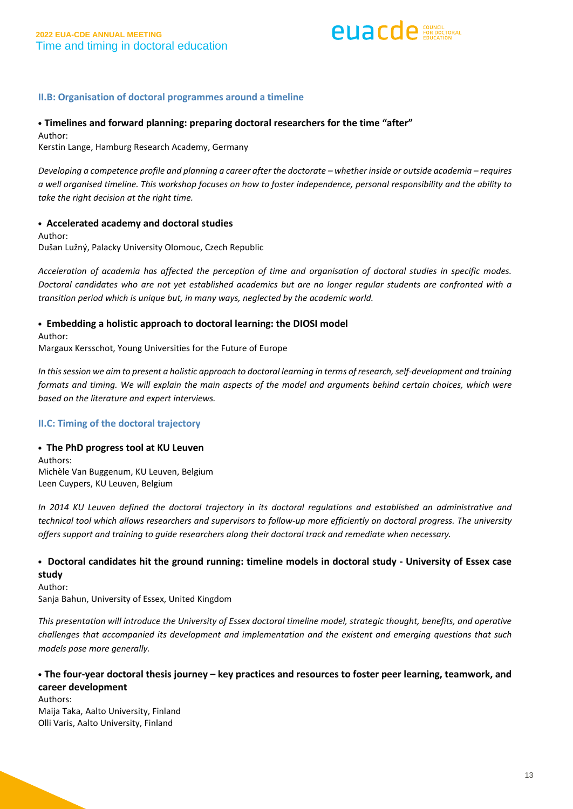

#### **II.B: Organisation of doctoral programmes around a timeline**

#### • **Timelines and forward planning: preparing doctoral researchers for the time "after"**

Author: Kerstin Lange, Hamburg Research Academy, Germany

Developing a competence profile and planning a career after the doctorate - whether inside or outside academia - requires a well organised timeline. This workshop focuses on how to foster independence, personal responsibility and the ability to *take the right decision at the right time.*

#### • **Accelerated academy and doctoral studies** Author:

Dušan Lužný, Palacky University Olomouc, Czech Republic

Acceleration of academia has affected the perception of time and organisation of doctoral studies in specific modes. Doctoral candidates who are not yet established academics but are no longer regular students are confronted with a *transition period which is unique but, in many ways, neglected by the academic world.*

#### • **Embedding a holistic approach to doctoral learning: the DIOSI model**

Author: Margaux Kersschot, Young Universities for the Future of Europe

In this session we aim to present a holistic approach to doctoral learning in terms of research, self-development and training formats and timing. We will explain the main aspects of the model and arguments behind certain choices, which were *based on the literature and expert interviews.*

#### **II.C: Timing of the doctoral trajectory**

#### • **The PhD progress tool at KU Leuven**

Authors: Michèle Van Buggenum, KU Leuven, Belgium Leen Cuypers, KU Leuven, Belgium

In 2014 KU Leuven defined the doctoral trajectory in its doctoral regulations and established an administrative and technical tool which allows researchers and supervisors to follow-up more efficiently on doctoral progress. The university *offers support and training to guide researchers along their doctoral track and remediate when necessary.*

## • **Doctoral candidates hit the ground running: timeline models in doctoral study - University of Essex case study**

Author: Sanja Bahun, University of Essex, United Kingdom

This presentation will introduce the University of Essex doctoral timeline model, strategic thought, benefits, and operative *challenges that accompanied its development and implementation and the existent and emerging questions that such models pose more generally.*

## • **The four-year doctoral thesis journey – key practices and resources to foster peer learning, teamwork, and career development**

Authors: Maija Taka, Aalto University, Finland Olli Varis, Aalto University, Finland